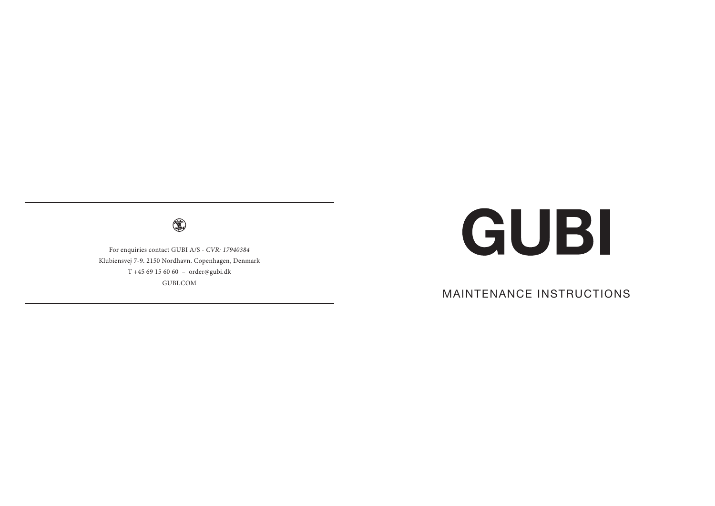$\circledS$ 

For enquiries contact GUBI A/S *- CVR: 17940384* Klubiensvej 7-9. 2150 Nordhavn. Copenhagen, Denmark T +45 69 15 60 60 – order@gubi.dk GUBI.COM

# GUBI

MAINTENANCE INSTRUCTIONS